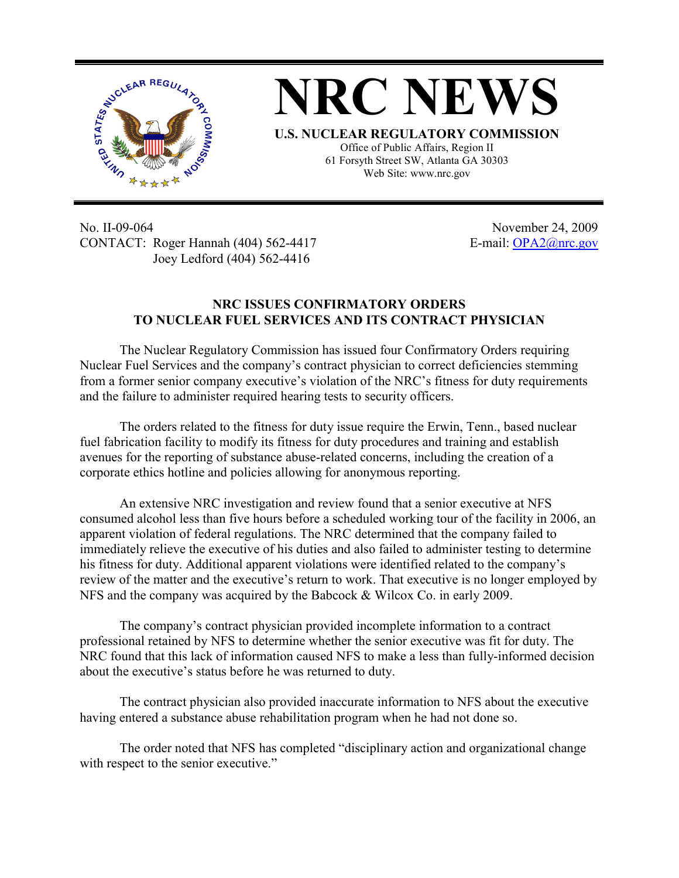

## **NRC NEWS U.S. NUCLEAR REGULATORY COMMISSION**

Office of Public Affairs, Region II 61 Forsyth Street SW, Atlanta GA 30303 Web Site: www.nrc.gov

No. II-09-064 November 24, 2009 CONTACT: Roger Hannah (404) 562-4417 E-mail: OPA2@nrc.gov Joey Ledford (404) 562-4416

## **NRC ISSUES CONFIRMATORY ORDERS TO NUCLEAR FUEL SERVICES AND ITS CONTRACT PHYSICIAN**

The Nuclear Regulatory Commission has issued four Confirmatory Orders requiring Nuclear Fuel Services and the company's contract physician to correct deficiencies stemming from a former senior company executive's violation of the NRC's fitness for duty requirements and the failure to administer required hearing tests to security officers.

The orders related to the fitness for duty issue require the Erwin, Tenn., based nuclear fuel fabrication facility to modify its fitness for duty procedures and training and establish avenues for the reporting of substance abuse-related concerns, including the creation of a corporate ethics hotline and policies allowing for anonymous reporting.

An extensive NRC investigation and review found that a senior executive at NFS consumed alcohol less than five hours before a scheduled working tour of the facility in 2006, an apparent violation of federal regulations. The NRC determined that the company failed to immediately relieve the executive of his duties and also failed to administer testing to determine his fitness for duty. Additional apparent violations were identified related to the company's review of the matter and the executive's return to work. That executive is no longer employed by NFS and the company was acquired by the Babcock & Wilcox Co. in early 2009.

The company's contract physician provided incomplete information to a contract professional retained by NFS to determine whether the senior executive was fit for duty. The NRC found that this lack of information caused NFS to make a less than fully-informed decision about the executive's status before he was returned to duty.

The contract physician also provided inaccurate information to NFS about the executive having entered a substance abuse rehabilitation program when he had not done so.

The order noted that NFS has completed "disciplinary action and organizational change with respect to the senior executive."